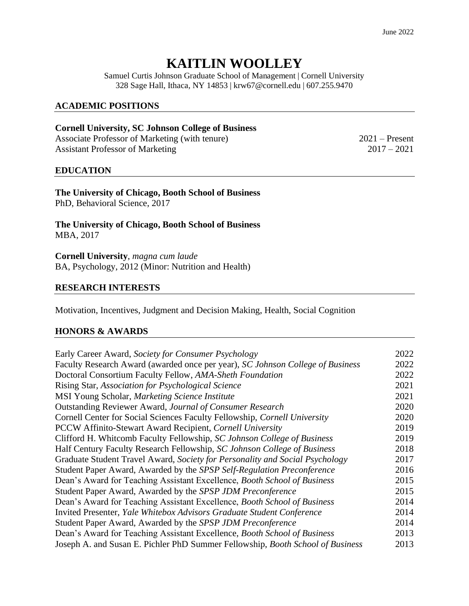# **KAITLIN WOOLLEY**

Samuel Curtis Johnson Graduate School of Management | Cornell University 328 Sage Hall, Ithaca, NY 14853 | krw67@cornell.edu | 607.255.9470

#### **ACADEMIC POSITIONS**

#### **Cornell University, SC Johnson College of Business**

Associate Professor of Marketing (with tenure) 2021 – Present Assistant Professor of Marketing 2017 – 2021

#### **EDUCATION**

**The University of Chicago, Booth School of Business** PhD, Behavioral Science, 2017

**The University of Chicago, Booth School of Business** MBA, 2017

**Cornell University**, *magna cum laude* BA, Psychology, 2012 (Minor: Nutrition and Health)

#### **RESEARCH INTERESTS**

Motivation, Incentives, Judgment and Decision Making, Health, Social Cognition

#### **HONORS & AWARDS**

| Early Career Award, Society for Consumer Psychology                            | 2022 |
|--------------------------------------------------------------------------------|------|
| Faculty Research Award (awarded once per year), SC Johnson College of Business | 2022 |
| Doctoral Consortium Faculty Fellow, AMA-Sheth Foundation                       | 2022 |
| Rising Star, Association for Psychological Science                             | 2021 |
| MSI Young Scholar, Marketing Science Institute                                 | 2021 |
| Outstanding Reviewer Award, Journal of Consumer Research                       | 2020 |
| Cornell Center for Social Sciences Faculty Fellowship, Cornell University      | 2020 |
| PCCW Affinito-Stewart Award Recipient, Cornell University                      | 2019 |
| Clifford H. Whitcomb Faculty Fellowship, SC Johnson College of Business        | 2019 |
| Half Century Faculty Research Fellowship, SC Johnson College of Business       | 2018 |
| Graduate Student Travel Award, Society for Personality and Social Psychology   | 2017 |
| Student Paper Award, Awarded by the SPSP Self-Regulation Preconference         | 2016 |
| Dean's Award for Teaching Assistant Excellence, Booth School of Business       | 2015 |
| Student Paper Award, Awarded by the SPSP JDM Preconference                     | 2015 |
| Dean's Award for Teaching Assistant Excellence, Booth School of Business       | 2014 |
| Invited Presenter, Yale Whitebox Advisors Graduate Student Conference          | 2014 |
| Student Paper Award, Awarded by the SPSP JDM Preconference                     | 2014 |
| Dean's Award for Teaching Assistant Excellence, Booth School of Business       | 2013 |
| Joseph A. and Susan E. Pichler PhD Summer Fellowship, Booth School of Business | 2013 |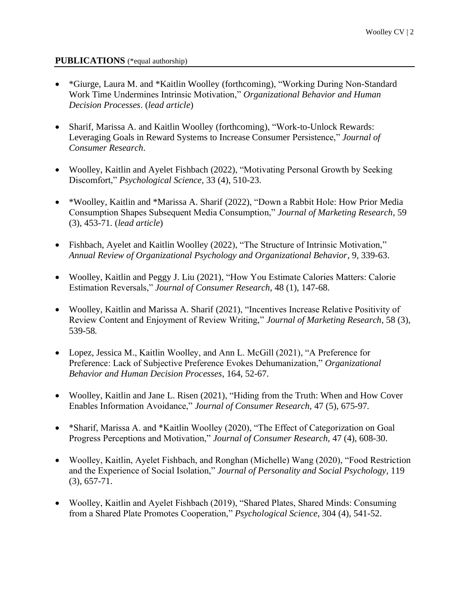#### **PUBLICATIONS** (\*equal authorship)

- \*Giurge, Laura M. and \*Kaitlin Woolley (forthcoming), "Working During Non-Standard Work Time Undermines Intrinsic Motivation," *Organizational Behavior and Human Decision Processes*. (*lead article*)
- Sharif, Marissa A. and Kaitlin Woolley (forthcoming), "Work-to-Unlock Rewards: Leveraging Goals in Reward Systems to Increase Consumer Persistence," *Journal of Consumer Research*.
- Woolley, Kaitlin and Ayelet Fishbach (2022), "Motivating Personal Growth by Seeking Discomfort," *Psychological Science,* 33 (4), 510-23.
- \*Woolley, Kaitlin and \*Marissa A. Sharif (2022), "Down a Rabbit Hole: How Prior Media Consumption Shapes Subsequent Media Consumption," *Journal of Marketing Research*, 59 (3), 453-71*.* (*lead article*)
- Fishbach, Ayelet and Kaitlin Woolley (2022), "The Structure of Intrinsic Motivation," *Annual Review of Organizational Psychology and Organizational Behavior*, 9, 339-63.
- Woolley, Kaitlin and Peggy J. Liu (2021), "How You Estimate Calories Matters: Calorie Estimation Reversals," *Journal of Consumer Research*, 48 (1), 147-68.
- Woolley, Kaitlin and Marissa A. Sharif (2021), "Incentives Increase Relative Positivity of Review Content and Enjoyment of Review Writing," *Journal of Marketing Research*, 58 (3), 539-58*.*
- Lopez, Jessica M., Kaitlin Woolley, and Ann L. McGill (2021), "A Preference for Preference: Lack of Subjective Preference Evokes Dehumanization," *Organizational Behavior and Human Decision Processes*, 164, 52-67.
- Woolley, Kaitlin and Jane L. Risen (2021), "Hiding from the Truth: When and How Cover Enables Information Avoidance," *Journal of Consumer Research,* 47 (5), 675-97*.*
- \* Sharif, Marissa A. and \* Kaitlin Woolley (2020), "The Effect of Categorization on Goal Progress Perceptions and Motivation," *Journal of Consumer Research,* 47 (4), 608-30.
- Woolley, Kaitlin, Ayelet Fishbach, and Ronghan (Michelle) Wang (2020), "Food Restriction and the Experience of Social Isolation," *Journal of Personality and Social Psychology*, 119 (3), 657-71.
- Woolley, Kaitlin and Ayelet Fishbach (2019), "Shared Plates, Shared Minds: Consuming from a Shared Plate Promotes Cooperation," *Psychological Science*, 304 (4), 541-52.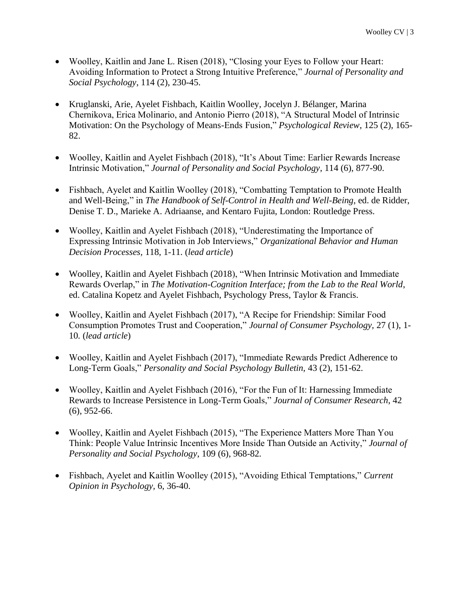- Woolley, Kaitlin and Jane L. Risen (2018), "Closing your Eyes to Follow your Heart: Avoiding Information to Protect a Strong Intuitive Preference," *Journal of Personality and Social Psychology*, 114 (2), 230-45.
- Kruglanski, Arie, Ayelet Fishbach, Kaitlin Woolley, Jocelyn J. Bélanger, Marina Chernikova, Erica Molinario, and Antonio Pierro (2018), "A Structural Model of Intrinsic Motivation: On the Psychology of Means-Ends Fusion," *Psychological Review*, 125 (2), 165- 82.
- Woolley, Kaitlin and Ayelet Fishbach (2018), "It's About Time: Earlier Rewards Increase Intrinsic Motivation," *Journal of Personality and Social Psychology*, 114 (6), 877-90.
- Fishbach, Ayelet and Kaitlin Woolley (2018), "Combatting Temptation to Promote Health and Well-Being," in *The Handbook of Self-Control in Health and Well-Being*, ed. de Ridder, Denise T. D., Marieke A. Adriaanse, and Kentaro Fujita, London: Routledge Press.
- Woolley, Kaitlin and Ayelet Fishbach (2018), "Underestimating the Importance of Expressing Intrinsic Motivation in Job Interviews," *Organizational Behavior and Human Decision Processes,* 118, 1-11. (*lead article*)
- Woolley, Kaitlin and Ayelet Fishbach (2018), "When Intrinsic Motivation and Immediate Rewards Overlap," in *The Motivation-Cognition Interface; from the Lab to the Real World*, ed. Catalina Kopetz and Ayelet Fishbach, Psychology Press, Taylor & Francis.
- Woolley, Kaitlin and Ayelet Fishbach (2017), "A Recipe for Friendship: Similar Food Consumption Promotes Trust and Cooperation," *Journal of Consumer Psychology,* 27 (1), 1- 10*.* (*lead article*)
- Woolley, Kaitlin and Ayelet Fishbach (2017), "Immediate Rewards Predict Adherence to Long-Term Goals," *Personality and Social Psychology Bulletin,* 43 (2), 151-62.
- Woolley, Kaitlin and Ayelet Fishbach (2016), "For the Fun of It: Harnessing Immediate Rewards to Increase Persistence in Long-Term Goals," *Journal of Consumer Research*, 42 (6), 952-66.
- Woolley, Kaitlin and Ayelet Fishbach (2015), "The Experience Matters More Than You Think: People Value Intrinsic Incentives More Inside Than Outside an Activity," *Journal of Personality and Social Psychology*, 109 (6), 968-82*.*
- Fishbach, Ayelet and Kaitlin Woolley (2015), "Avoiding Ethical Temptations," *Current Opinion in Psychology,* 6, 36-40.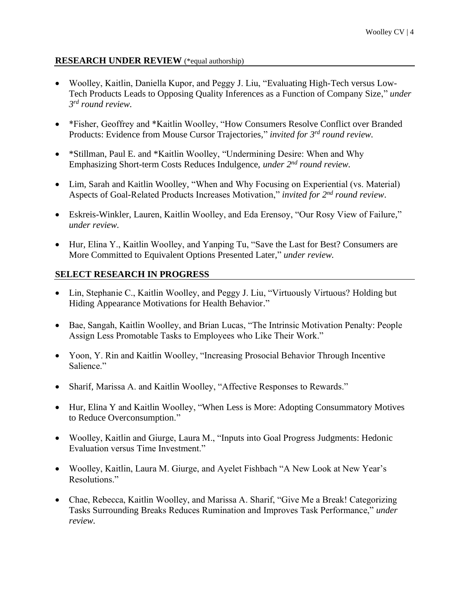## **RESEARCH UNDER REVIEW** (\*equal authorship)

- Woolley, Kaitlin, Daniella Kupor, and Peggy J. Liu, "Evaluating High-Tech versus Low-Tech Products Leads to Opposing Quality Inferences as a Function of Company Size," *under 3 rd round review.*
- \*Fisher, Geoffrey and \*Kaitlin Woolley, "How Consumers Resolve Conflict over Branded Products: Evidence from Mouse Cursor Trajectories*,*" *invited for 3 rd round review.*
- \*Stillman, Paul E. and \*Kaitlin Woolley, "Undermining Desire: When and Why Emphasizing Short-term Costs Reduces Indulgence, *under* 2<sup>nd</sup> round review.
- Lim, Sarah and Kaitlin Woolley, "When and Why Focusing on Experiential (vs. Material) Aspects of Goal-Related Products Increases Motivation," *invited for 2nd round review*.
- Eskreis-Winkler, Lauren, Kaitlin Woolley, and Eda Erensoy, "Our Rosy View of Failure," *under review.*
- Hur, Elina Y., Kaitlin Woolley, and Yanping Tu, "Save the Last for Best? Consumers are More Committed to Equivalent Options Presented Later," *under review.*

# **SELECT RESEARCH IN PROGRESS**

- Lin, Stephanie C., Kaitlin Woolley, and Peggy J. Liu, "Virtuously Virtuous? Holding but Hiding Appearance Motivations for Health Behavior."
- Bae, Sangah, Kaitlin Woolley, and Brian Lucas, "The Intrinsic Motivation Penalty: People Assign Less Promotable Tasks to Employees who Like Their Work."
- Yoon, Y. Rin and Kaitlin Woolley, "Increasing Prosocial Behavior Through Incentive Salience."
- Sharif, Marissa A. and Kaitlin Woolley, "Affective Responses to Rewards."
- Hur, Elina Y and Kaitlin Woolley, "When Less is More: Adopting Consummatory Motives to Reduce Overconsumption."
- Woolley, Kaitlin and Giurge, Laura M., "Inputs into Goal Progress Judgments: Hedonic Evaluation versus Time Investment."
- Woolley, Kaitlin, Laura M. Giurge, and Ayelet Fishbach "A New Look at New Year's Resolutions."
- Chae, Rebecca, Kaitlin Woolley, and Marissa A. Sharif, "Give Me a Break! Categorizing Tasks Surrounding Breaks Reduces Rumination and Improves Task Performance," *under review.*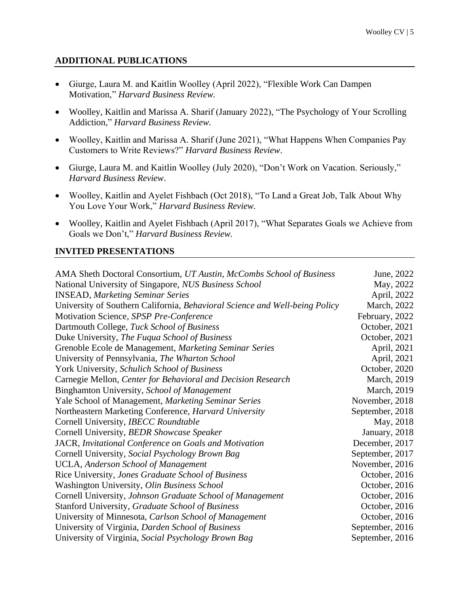## **ADDITIONAL PUBLICATIONS**

- Giurge, Laura M. and Kaitlin Woolley (April 2022), "Flexible Work Can Dampen Motivation," *Harvard Business Review.*
- Woolley, Kaitlin and Marissa A. Sharif (January 2022), "The Psychology of Your Scrolling Addiction," *Harvard Business Review.*
- Woolley, Kaitlin and Marissa A. Sharif (June 2021), "What Happens When Companies Pay Customers to Write Reviews?" *Harvard Business Review*.
- Giurge, Laura M. and Kaitlin Woolley (July 2020), "Don't Work on Vacation. Seriously," *Harvard Business Review*.
- Woolley, Kaitlin and Ayelet Fishbach (Oct 2018), "To Land a Great Job, Talk About Why You Love Your Work," *Harvard Business Review.*
- Woolley, Kaitlin and Ayelet Fishbach (April 2017), "What Separates Goals we Achieve from Goals we Don't," *Harvard Business Review.*

#### **INVITED PRESENTATIONS**

| AMA Sheth Doctoral Consortium, UT Austin, McCombs School of Business        | June, 2022      |
|-----------------------------------------------------------------------------|-----------------|
| National University of Singapore, NUS Business School                       | May, 2022       |
| <b>INSEAD, Marketing Seminar Series</b>                                     | April, 2022     |
| University of Southern California, Behavioral Science and Well-being Policy | March, 2022     |
| Motivation Science, SPSP Pre-Conference                                     | February, 2022  |
| Dartmouth College, Tuck School of Business                                  | October, 2021   |
| Duke University, The Fuqua School of Business                               | October, 2021   |
| Grenoble Ecole de Management, Marketing Seminar Series                      | April, 2021     |
| University of Pennsylvania, The Wharton School                              | April, 2021     |
| York University, Schulich School of Business                                | October, 2020   |
| Carnegie Mellon, Center for Behavioral and Decision Research                | March, 2019     |
| Binghamton University, School of Management                                 | March, 2019     |
| Yale School of Management, Marketing Seminar Series                         | November, 2018  |
| Northeastern Marketing Conference, Harvard University                       | September, 2018 |
| Cornell University, IBECC Roundtable                                        | May, 2018       |
| Cornell University, BEDR Showcase Speaker                                   | January, 2018   |
| JACR, Invitational Conference on Goals and Motivation                       | December, 2017  |
| Cornell University, Social Psychology Brown Bag                             | September, 2017 |
| <b>UCLA, Anderson School of Management</b>                                  | November, 2016  |
| Rice University, Jones Graduate School of Business                          | October, 2016   |
| Washington University, Olin Business School                                 | October, 2016   |
| Cornell University, Johnson Graduate School of Management                   | October, 2016   |
| Stanford University, Graduate School of Business                            | October, 2016   |
| University of Minnesota, Carlson School of Management                       | October, 2016   |
| University of Virginia, Darden School of Business                           | September, 2016 |
| University of Virginia, Social Psychology Brown Bag                         | September, 2016 |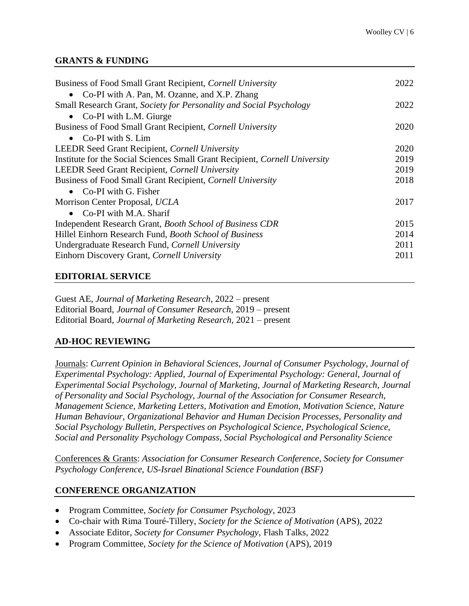#### **GRANTS & FUNDING**

| Business of Food Small Grant Recipient, Cornell University                  | 2022 |
|-----------------------------------------------------------------------------|------|
| • Co-PI with A. Pan, M. Ozanne, and X.P. Zhang                              |      |
| Small Research Grant, Society for Personality and Social Psychology         | 2022 |
| • Co-PI with L.M. Giurge                                                    |      |
| Business of Food Small Grant Recipient, Cornell University                  | 2020 |
| • $Co-PI$ with S. Lim                                                       |      |
| <b>LEEDR</b> Seed Grant Recipient, <i>Cornell University</i>                | 2020 |
| Institute for the Social Sciences Small Grant Recipient, Cornell University | 2019 |
| <b>LEEDR Seed Grant Recipient, Cornell University</b>                       | 2019 |
| Business of Food Small Grant Recipient, Cornell University                  | 2018 |
| • Co-PI with G. Fisher                                                      |      |
| Morrison Center Proposal, UCLA                                              | 2017 |
| Co-PI with M.A. Sharif<br>$\bullet$                                         |      |
| Independent Research Grant, <i>Booth School of Business CDR</i>             | 2015 |
| Hillel Einhorn Research Fund, Booth School of Business                      | 2014 |
| Undergraduate Research Fund, Cornell University                             | 2011 |
| Einhorn Discovery Grant, Cornell University                                 | 2011 |
|                                                                             |      |

#### **EDITORIAL SERVICE**

Guest AE, *Journal of Marketing Research*, 2022 – present Editorial Board, *Journal of Consumer Research*, 2019 – present Editorial Board, *Journal of Marketing Research,* 2021 – present

## **AD-HOC REVIEWING**

Journals: *Current Opinion in Behavioral Sciences, Journal of Consumer Psychology, Journal of Experimental Psychology: Applied, Journal of Experimental Psychology: General, Journal of Experimental Social Psychology, Journal of Marketing, Journal of Marketing Research, Journal of Personality and Social Psychology, Journal of the Association for Consumer Research, Management Science, Marketing Letters, Motivation and Emotion, Motivation Science, Nature Human Behaviour, Organizational Behavior and Human Decision Processes, Personality and Social Psychology Bulletin, Perspectives on Psychological Science, Psychological Science, Social and Personality Psychology Compass, Social Psychological and Personality Science*

Conferences & Grants: *Association for Consumer Research Conference, Society for Consumer Psychology Conference, US-Israel Binational Science Foundation (BSF)*

## **CONFERENCE ORGANIZATION**

- Program Committee, *Society for Consumer Psychology*, 2023
- Co-chair with Rima Touré-Tillery, *Society for the Science of Motivation* (APS), 2022
- Associate Editor, *Society for Consumer Psychology*, Flash Talks, 2022
- Program Committee, *Society for the Science of Motivation* (APS), 2019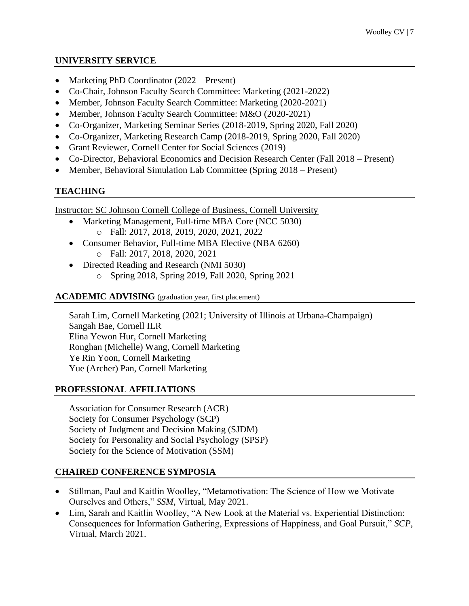## **UNIVERSITY SERVICE**

- Marketing PhD Coordinator (2022 Present)
- Co-Chair, Johnson Faculty Search Committee: Marketing (2021-2022)
- Member, Johnson Faculty Search Committee: Marketing (2020-2021)
- Member, Johnson Faculty Search Committee: M&O (2020-2021)
- Co-Organizer, Marketing Seminar Series (2018-2019, Spring 2020, Fall 2020)
- Co-Organizer, Marketing Research Camp (2018-2019, Spring 2020, Fall 2020)
- Grant Reviewer, Cornell Center for Social Sciences (2019)
- Co-Director, Behavioral Economics and Decision Research Center (Fall 2018 Present)
- Member, Behavioral Simulation Lab Committee (Spring 2018 Present)

# **TEACHING**

Instructor: SC Johnson Cornell College of Business, Cornell University

- Marketing Management, Full-time MBA Core (NCC 5030) o Fall: 2017, 2018, 2019, 2020, 2021, 2022
- Consumer Behavior, Full-time MBA Elective (NBA 6260) o Fall: 2017, 2018, 2020, 2021
- Directed Reading and Research (NMI 5030)
	- o Spring 2018, Spring 2019, Fall 2020, Spring 2021

# **ACADEMIC ADVISING** (graduation year, first placement)

Sarah Lim, Cornell Marketing (2021; University of Illinois at Urbana-Champaign) Sangah Bae, Cornell ILR Elina Yewon Hur, Cornell Marketing Ronghan (Michelle) Wang, Cornell Marketing Ye Rin Yoon, Cornell Marketing Yue (Archer) Pan, Cornell Marketing

## **PROFESSIONAL AFFILIATIONS**

Association for Consumer Research (ACR) Society for Consumer Psychology (SCP) Society of Judgment and Decision Making (SJDM) Society for Personality and Social Psychology (SPSP) Society for the Science of Motivation (SSM)

# **CHAIRED CONFERENCE SYMPOSIA**

- Stillman, Paul and Kaitlin Woolley, "Metamotivation: The Science of How we Motivate Ourselves and Others," *SSM*, Virtual, May 2021.
- Lim, Sarah and Kaitlin Woolley, "A New Look at the Material vs. Experiential Distinction: Consequences for Information Gathering, Expressions of Happiness, and Goal Pursuit," *SCP*, Virtual, March 2021.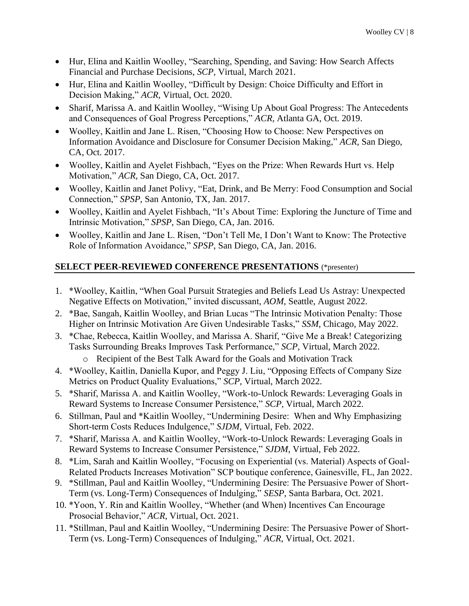- Hur, Elina and Kaitlin Woolley, "Searching, Spending, and Saving: How Search Affects Financial and Purchase Decisions, *SCP,* Virtual, March 2021.
- Hur, Elina and Kaitlin Woolley, "Difficult by Design: Choice Difficulty and Effort in Decision Making," *ACR,* Virtual, Oct. 2020.
- Sharif, Marissa A. and Kaitlin Woolley, "Wising Up About Goal Progress: The Antecedents and Consequences of Goal Progress Perceptions," *ACR,* Atlanta GA, Oct. 2019.
- Woolley, Kaitlin and Jane L. Risen, "Choosing How to Choose: New Perspectives on Information Avoidance and Disclosure for Consumer Decision Making," *ACR,* San Diego, CA, Oct. 2017.
- Woolley, Kaitlin and Ayelet Fishbach, "Eyes on the Prize: When Rewards Hurt vs. Help Motivation," *ACR,* San Diego, CA, Oct. 2017.
- Woolley, Kaitlin and Janet Polivy, "Eat, Drink, and Be Merry: Food Consumption and Social Connection," *SPSP*, San Antonio, TX, Jan. 2017.
- Woolley, Kaitlin and Ayelet Fishbach, "It's About Time: Exploring the Juncture of Time and Intrinsic Motivation," *SPSP*, San Diego, CA, Jan. 2016.
- Woolley, Kaitlin and Jane L. Risen, "Don't Tell Me, I Don't Want to Know: The Protective Role of Information Avoidance," *SPSP*, San Diego, CA, Jan. 2016.

# **SELECT PEER-REVIEWED CONFERENCE PRESENTATIONS** (\*presenter)

- 1. \*Woolley, Kaitlin, "When Goal Pursuit Strategies and Beliefs Lead Us Astray: Unexpected Negative Effects on Motivation," invited discussant, *AOM*, Seattle, August 2022.
- 2. \*Bae, Sangah, Kaitlin Woolley, and Brian Lucas "The Intrinsic Motivation Penalty: Those Higher on Intrinsic Motivation Are Given Undesirable Tasks," *SSM*, Chicago, May 2022.
- 3. \*Chae, Rebecca, Kaitlin Woolley, and Marissa A. Sharif, "Give Me a Break! Categorizing Tasks Surrounding Breaks Improves Task Performance," *SCP,* Virtual, March 2022.
	- o Recipient of the Best Talk Award for the Goals and Motivation Track
- 4. \*Woolley, Kaitlin, Daniella Kupor, and Peggy J. Liu, "Opposing Effects of Company Size Metrics on Product Quality Evaluations," *SCP*, Virtual, March 2022.
- 5. \*Sharif, Marissa A. and Kaitlin Woolley, "Work-to-Unlock Rewards: Leveraging Goals in Reward Systems to Increase Consumer Persistence," *SCP,* Virtual, March 2022.
- 6. Stillman, Paul and \*Kaitlin Woolley, "Undermining Desire: When and Why Emphasizing Short-term Costs Reduces Indulgence," *SJDM*, Virtual, Feb. 2022.
- 7. \*Sharif, Marissa A. and Kaitlin Woolley, "Work-to-Unlock Rewards: Leveraging Goals in Reward Systems to Increase Consumer Persistence," *SJDM*, Virtual, Feb 2022.
- 8. \*Lim, Sarah and Kaitlin Woolley, "Focusing on Experiential (vs. Material) Aspects of Goal-Related Products Increases Motivation" SCP boutique conference, Gainesville, FL, Jan 2022.
- 9. \*Stillman, Paul and Kaitlin Woolley, "Undermining Desire: The Persuasive Power of Short-Term (vs. Long-Term) Consequences of Indulging," *SESP*, Santa Barbara, Oct. 2021.
- 10. \*Yoon, Y. Rin and Kaitlin Woolley, "Whether (and When) Incentives Can Encourage Prosocial Behavior," *ACR*, Virtual, Oct. 2021.
- 11. \*Stillman, Paul and Kaitlin Woolley, "Undermining Desire: The Persuasive Power of Short-Term (vs. Long-Term) Consequences of Indulging," *ACR*, Virtual, Oct. 2021.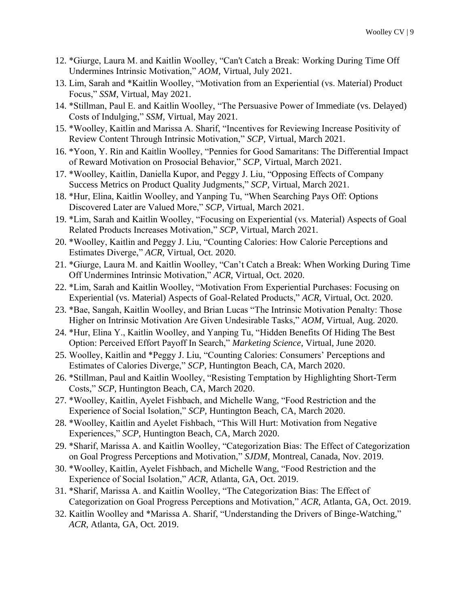- 12. \*Giurge, Laura M. and Kaitlin Woolley, "Can't Catch a Break: Working During Time Off Undermines Intrinsic Motivation," *AOM,* Virtual, July 2021.
- 13. Lim, Sarah and \*Kaitlin Woolley, "Motivation from an Experiential (vs. Material) Product Focus," *SSM*, Virtual, May 2021.
- 14. \*Stillman, Paul E. and Kaitlin Woolley, "The Persuasive Power of Immediate (vs. Delayed) Costs of Indulging," *SSM,* Virtual, May 2021.
- 15. \*Woolley, Kaitlin and Marissa A. Sharif, "Incentives for Reviewing Increase Positivity of Review Content Through Intrinsic Motivation," *SCP,* Virtual, March 2021.
- 16. \*Yoon, Y. Rin and Kaitlin Woolley, "Pennies for Good Samaritans: The Differential Impact of Reward Motivation on Prosocial Behavior," *SCP,* Virtual, March 2021.
- 17. \*Woolley, Kaitlin, Daniella Kupor, and Peggy J. Liu, "Opposing Effects of Company Success Metrics on Product Quality Judgments," *SCP*, Virtual, March 2021.
- 18. \*Hur, Elina, Kaitlin Woolley, and Yanping Tu, "When Searching Pays Off: Options Discovered Later are Valued More," *SCP*, Virtual, March 2021.
- 19. \*Lim, Sarah and Kaitlin Woolley, "Focusing on Experiential (vs. Material) Aspects of Goal Related Products Increases Motivation," *SCP*, Virtual, March 2021.
- 20. \*Woolley, Kaitlin and Peggy J. Liu, "Counting Calories: How Calorie Perceptions and Estimates Diverge," *ACR*, Virtual, Oct. 2020.
- 21. \*Giurge, Laura M. and Kaitlin Woolley, "Can't Catch a Break: When Working During Time Off Undermines Intrinsic Motivation," *ACR*, Virtual, Oct. 2020.
- 22. \*Lim, Sarah and Kaitlin Woolley, "Motivation From Experiential Purchases: Focusing on Experiential (vs. Material) Aspects of Goal-Related Products," *ACR*, Virtual, Oct. 2020.
- 23. \*Bae, Sangah, Kaitlin Woolley, and Brian Lucas "The Intrinsic Motivation Penalty: Those Higher on Intrinsic Motivation Are Given Undesirable Tasks," *AOM*, Virtual, Aug. 2020.
- 24. \*Hur, Elina Y., Kaitlin Woolley, and Yanping Tu, "Hidden Benefits Of Hiding The Best Option: Perceived Effort Payoff In Search," *Marketing Science*, Virtual, June 2020.
- 25. Woolley, Kaitlin and \*Peggy J. Liu, "Counting Calories: Consumers' Perceptions and Estimates of Calories Diverge," *SCP*, Huntington Beach, CA, March 2020.
- 26. \*Stillman, Paul and Kaitlin Woolley, "Resisting Temptation by Highlighting Short-Term Costs," *SCP*, Huntington Beach, CA, March 2020.
- 27. \*Woolley, Kaitlin, Ayelet Fishbach, and Michelle Wang, "Food Restriction and the Experience of Social Isolation," *SCP*, Huntington Beach, CA, March 2020.
- 28. \*Woolley, Kaitlin and Ayelet Fishbach, "This Will Hurt: Motivation from Negative Experiences," *SCP*, Huntington Beach, CA, March 2020.
- 29. \*Sharif, Marissa A. and Kaitlin Woolley, "Categorization Bias: The Effect of Categorization on Goal Progress Perceptions and Motivation," *SJDM*, Montreal, Canada, Nov. 2019.
- 30. \*Woolley, Kaitlin, Ayelet Fishbach, and Michelle Wang, "Food Restriction and the Experience of Social Isolation," *ACR*, Atlanta, GA, Oct. 2019.
- 31. \*Sharif, Marissa A. and Kaitlin Woolley, "The Categorization Bias: The Effect of Categorization on Goal Progress Perceptions and Motivation," *ACR*, Atlanta, GA, Oct. 2019.
- 32. Kaitlin Woolley and \*Marissa A. Sharif, "Understanding the Drivers of Binge-Watching," *ACR*, Atlanta, GA, Oct. 2019.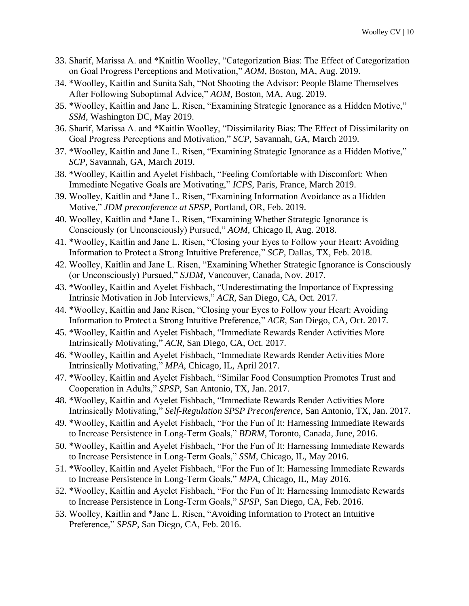- 33. Sharif, Marissa A. and \*Kaitlin Woolley, "Categorization Bias: The Effect of Categorization on Goal Progress Perceptions and Motivation," *AOM*, Boston, MA, Aug. 2019.
- 34. \*Woolley, Kaitlin and Sunita Sah, "Not Shooting the Advisor: People Blame Themselves After Following Suboptimal Advice," *AOM,* Boston, MA, Aug. 2019.
- 35. \*Woolley, Kaitlin and Jane L. Risen, "Examining Strategic Ignorance as a Hidden Motive," *SSM,* Washington DC, May 2019.
- 36. Sharif, Marissa A. and \*Kaitlin Woolley, "Dissimilarity Bias: The Effect of Dissimilarity on Goal Progress Perceptions and Motivation," *SCP*, Savannah, GA, March 2019.
- 37. \*Woolley, Kaitlin and Jane L. Risen, "Examining Strategic Ignorance as a Hidden Motive," *SCP,* Savannah, GA, March 2019.
- 38. \*Woolley, Kaitlin and Ayelet Fishbach, "Feeling Comfortable with Discomfort: When Immediate Negative Goals are Motivating," *ICPS*, Paris, France, March 2019.
- 39. Woolley, Kaitlin and \*Jane L. Risen, "Examining Information Avoidance as a Hidden Motive," *JDM preconference at SPSP*, Portland, OR, Feb. 2019.
- 40. Woolley, Kaitlin and \*Jane L. Risen, "Examining Whether Strategic Ignorance is Consciously (or Unconsciously) Pursued," *AOM*, Chicago Il, Aug. 2018.
- 41. \*Woolley, Kaitlin and Jane L. Risen, "Closing your Eyes to Follow your Heart: Avoiding Information to Protect a Strong Intuitive Preference," *SCP*, Dallas, TX, Feb. 2018.
- 42. Woolley, Kaitlin and Jane L. Risen, "Examining Whether Strategic Ignorance is Consciously (or Unconsciously) Pursued," *SJDM*, Vancouver, Canada, Nov. 2017.
- 43. \*Woolley, Kaitlin and Ayelet Fishbach, "Underestimating the Importance of Expressing Intrinsic Motivation in Job Interviews," *ACR,* San Diego, CA, Oct. 2017.
- 44. \*Woolley, Kaitlin and Jane Risen, "Closing your Eyes to Follow your Heart: Avoiding Information to Protect a Strong Intuitive Preference," *ACR*, San Diego, CA, Oct. 2017.
- 45. \*Woolley, Kaitlin and Ayelet Fishbach, "Immediate Rewards Render Activities More Intrinsically Motivating," *ACR*, San Diego, CA, Oct. 2017.
- 46. \*Woolley, Kaitlin and Ayelet Fishbach, "Immediate Rewards Render Activities More Intrinsically Motivating," *MPA*, Chicago, IL, April 2017.
- 47. \*Woolley, Kaitlin and Ayelet Fishbach, "Similar Food Consumption Promotes Trust and Cooperation in Adults," *SPSP*, San Antonio, TX, Jan. 2017.
- 48. \*Woolley, Kaitlin and Ayelet Fishbach, "Immediate Rewards Render Activities More Intrinsically Motivating," *Self-Regulation SPSP Preconference*, San Antonio, TX, Jan. 2017.
- 49. \*Woolley, Kaitlin and Ayelet Fishbach, "For the Fun of It: Harnessing Immediate Rewards to Increase Persistence in Long-Term Goals," *BDRM*, Toronto, Canada, June, 2016.
- 50. \*Woolley, Kaitlin and Ayelet Fishbach, "For the Fun of It: Harnessing Immediate Rewards to Increase Persistence in Long-Term Goals," *SSM*, Chicago, IL, May 2016.
- 51. \*Woolley, Kaitlin and Ayelet Fishbach, "For the Fun of It: Harnessing Immediate Rewards to Increase Persistence in Long-Term Goals," *MPA*, Chicago, IL, May 2016.
- 52. \*Woolley, Kaitlin and Ayelet Fishbach, "For the Fun of It: Harnessing Immediate Rewards to Increase Persistence in Long-Term Goals," *SPSP*, San Diego, CA, Feb. 2016.
- 53. Woolley, Kaitlin and \*Jane L. Risen, "Avoiding Information to Protect an Intuitive Preference," *SPSP*, San Diego, CA, Feb. 2016.